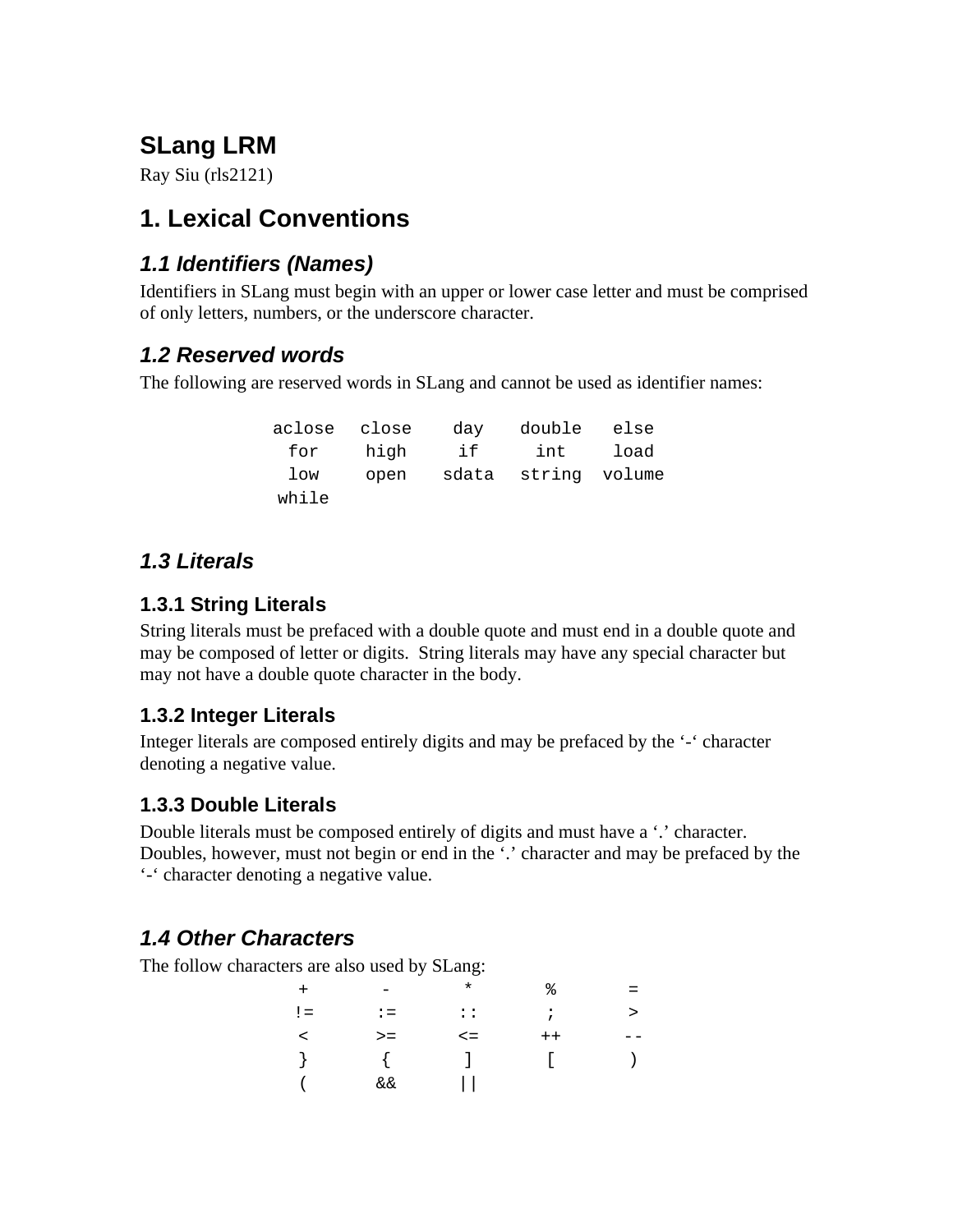# **SLang LRM**

Ray Siu (rls2121)

# **1. Lexical Conventions**

## *1.1 Identifiers (Names)*

Identifiers in SLang must begin with an upper or lower case letter and must be comprised of only letters, numbers, or the underscore character.

### *1.2 Reserved words*

The following are reserved words in SLang and cannot be used as identifier names:

| aclose close |      | day | double else         |      |
|--------------|------|-----|---------------------|------|
| for          | high | if  | int                 | load |
| low          | open |     | sdata string volume |      |
| while        |      |     |                     |      |

### *1.3 Literals*

#### **1.3.1 String Literals**

String literals must be prefaced with a double quote and must end in a double quote and may be composed of letter or digits. String literals may have any special character but may not have a double quote character in the body.

#### **1.3.2 Integer Literals**

Integer literals are composed entirely digits and may be prefaced by the '-' character denoting a negative value.

### **1.3.3 Double Literals**

Double literals must be composed entirely of digits and must have a '.' character. Doubles, however, must not begin or end in the '.' character and may be prefaced by the '-' character denoting a negative value.

# *1.4 Other Characters*

The follow characters are also used by SLang:

| $+$     | -              | $^\star$     | ႜ       | $=$    |
|---------|----------------|--------------|---------|--------|
| $!=$    | $\mathbf{r} =$ | $\mathbf{1}$ | $\cdot$ | $\geq$ |
| $\prec$ | $>=$           | $\leq$ $=$   | $++$    | - -    |
|         |                | $\perp$      |         |        |
|         | &&             |              |         |        |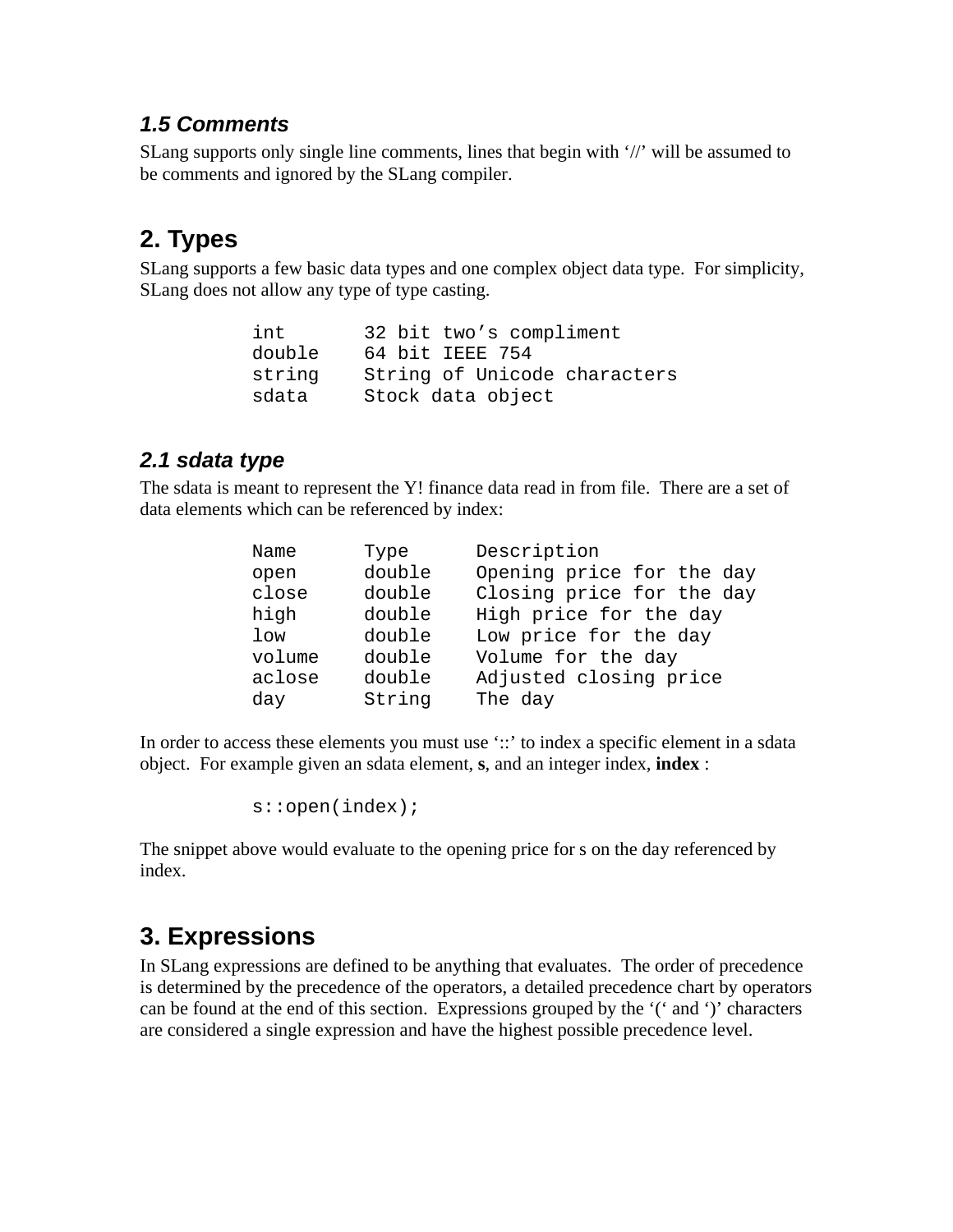#### *1.5 Comments*

SLang supports only single line comments, lines that begin with '//' will be assumed to be comments and ignored by the SLang compiler.

# **2. Types**

SLang supports a few basic data types and one complex object data type. For simplicity, SLang does not allow any type of type casting.

```
int 32 bit two's compliment
double 64 bit IEEE 754
string String of Unicode characters
sdata Stock data object
```
#### *2.1 sdata type*

The sdata is meant to represent the Y! finance data read in from file. There are a set of data elements which can be referenced by index:

| Name   | Type   | Description               |
|--------|--------|---------------------------|
| open   | double | Opening price for the day |
| close  | double | Closing price for the day |
| high   | double | High price for the day    |
| $1$ ow | double | Low price for the day     |
| volume | double | Volume for the day        |
| aclose | double | Adjusted closing price    |
| day    | String | The day                   |

In order to access these elements you must use '::' to index a specific element in a sdata object. For example given an sdata element, **s**, and an integer index, **index** :

s::open(index);

The snippet above would evaluate to the opening price for s on the day referenced by index.

# **3. Expressions**

In SLang expressions are defined to be anything that evaluates. The order of precedence is determined by the precedence of the operators, a detailed precedence chart by operators can be found at the end of this section. Expressions grouped by the '(' and ')' characters are considered a single expression and have the highest possible precedence level.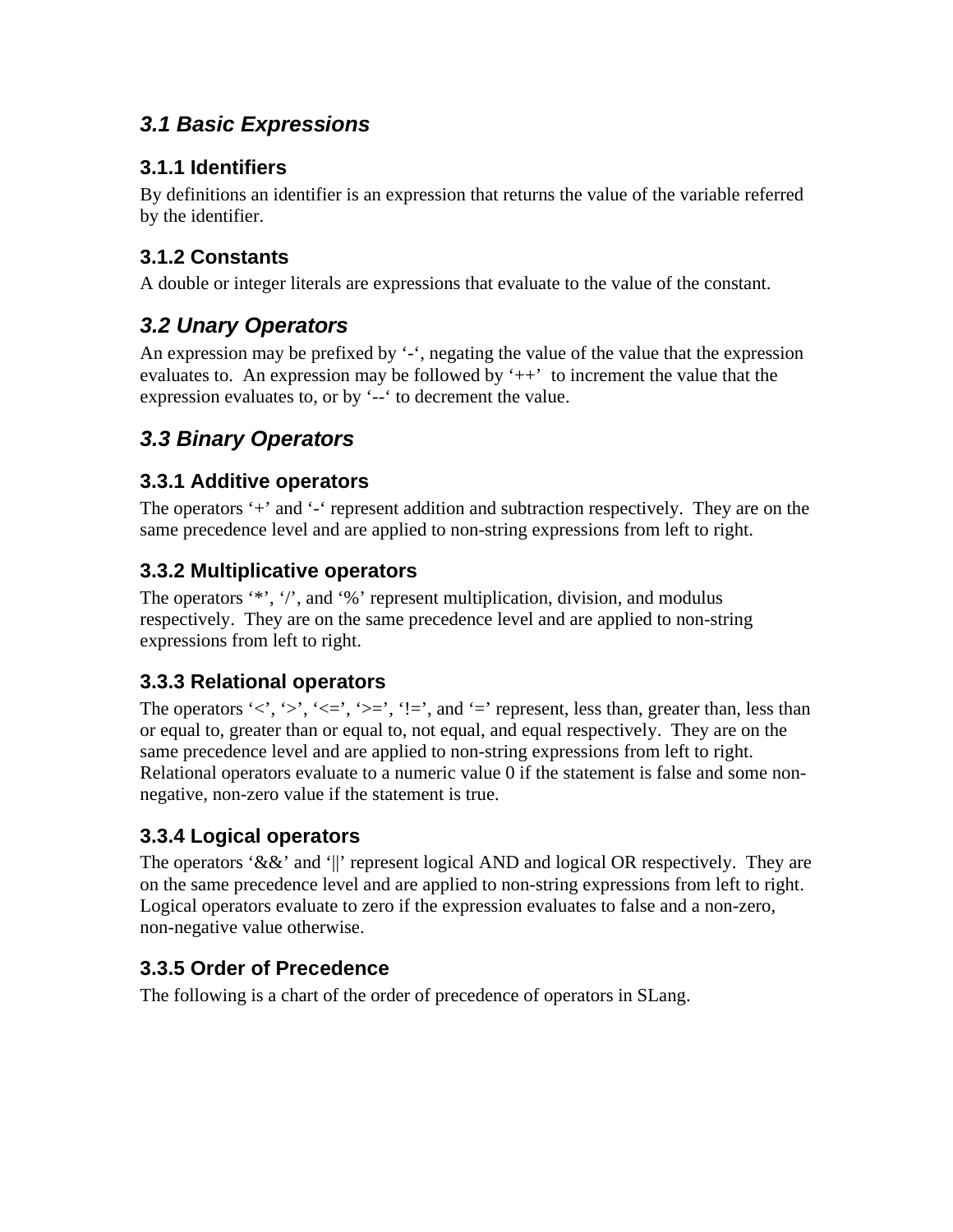## *3.1 Basic Expressions*

### **3.1.1 Identifiers**

By definitions an identifier is an expression that returns the value of the variable referred by the identifier.

### **3.1.2 Constants**

A double or integer literals are expressions that evaluate to the value of the constant.

# *3.2 Unary Operators*

An expression may be prefixed by '-', negating the value of the value that the expression evaluates to. An expression may be followed by  $'++'$  to increment the value that the expression evaluates to, or by '--' to decrement the value.

# *3.3 Binary Operators*

### **3.3.1 Additive operators**

The operators '+' and '-' represent addition and subtraction respectively. They are on the same precedence level and are applied to non-string expressions from left to right.

### **3.3.2 Multiplicative operators**

The operators '\*', '/', and '%' represent multiplication, division, and modulus respectively. They are on the same precedence level and are applied to non-string expressions from left to right.

### **3.3.3 Relational operators**

The operators ' $\langle \cdot, \cdot \rangle$ ', ' $\langle \cdot, \cdot \rangle$ ', ' $\langle \cdot, \cdot \rangle$ ', '!=', and '=' represent, less than, greater than, less than or equal to, greater than or equal to, not equal, and equal respectively. They are on the same precedence level and are applied to non-string expressions from left to right. Relational operators evaluate to a numeric value 0 if the statement is false and some nonnegative, non-zero value if the statement is true.

#### **3.3.4 Logical operators**

The operators '&&' and '||' represent logical AND and logical OR respectively. They are on the same precedence level and are applied to non-string expressions from left to right. Logical operators evaluate to zero if the expression evaluates to false and a non-zero, non-negative value otherwise.

### **3.3.5 Order of Precedence**

The following is a chart of the order of precedence of operators in SLang.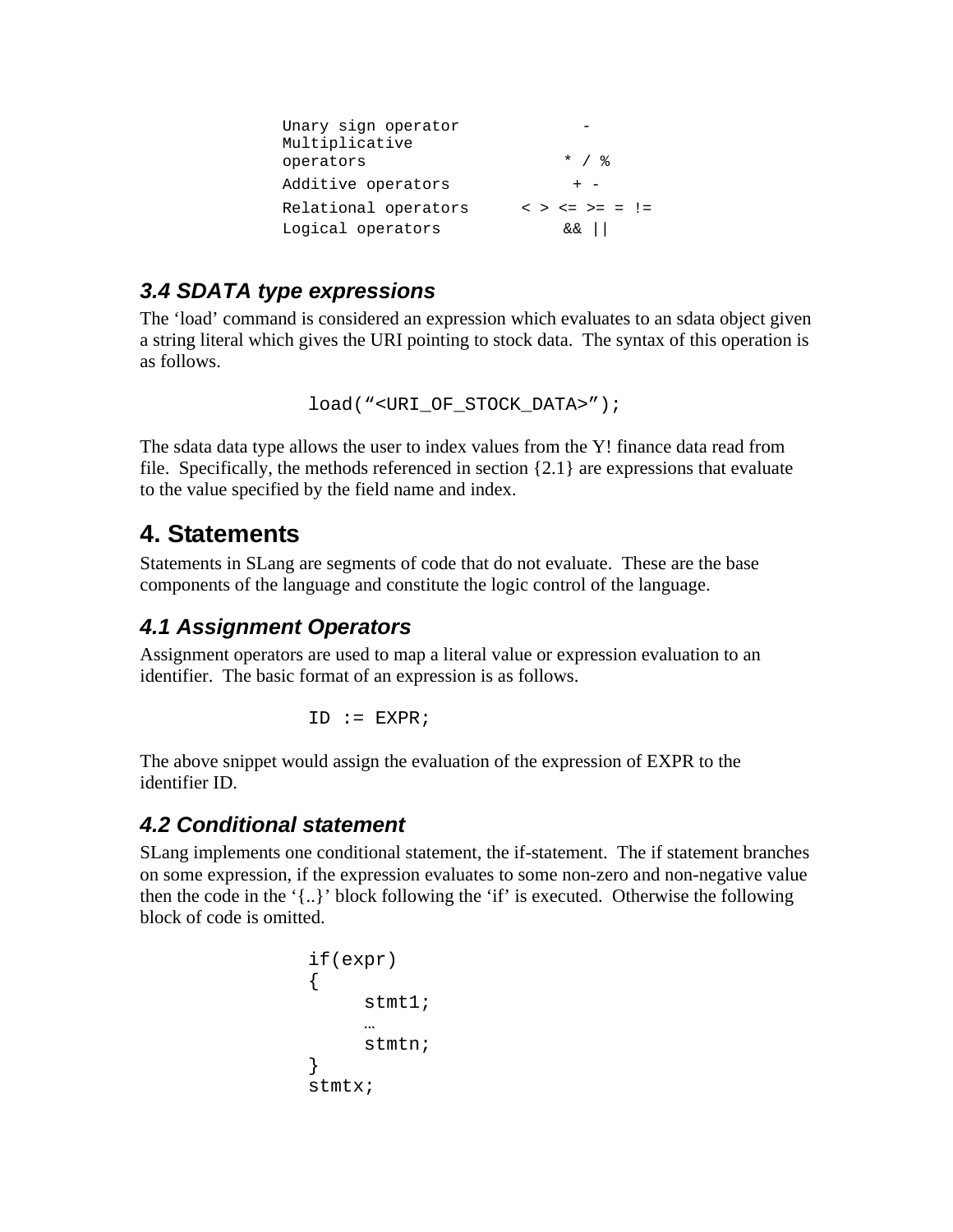| Unary sign operator<br>Multiplicative |                          |
|---------------------------------------|--------------------------|
| operators                             | $*$ / $\frac{8}{6}$      |
| Additive operators                    | $+ -$                    |
| Relational operators                  | $<$ > $<=$ > = $!=$ $!=$ |
| Logical operators                     | ا  ئ&                    |

### *3.4 SDATA type expressions*

The 'load' command is considered an expression which evaluates to an sdata object given a string literal which gives the URI pointing to stock data. The syntax of this operation is as follows.

```
load("<URI_OF_STOCK_DATA>");
```
The sdata data type allows the user to index values from the Y! finance data read from file. Specifically, the methods referenced in section {2.1} are expressions that evaluate to the value specified by the field name and index.

# **4. Statements**

Statements in SLang are segments of code that do not evaluate. These are the base components of the language and constitute the logic control of the language.

### *4.1 Assignment Operators*

Assignment operators are used to map a literal value or expression evaluation to an identifier. The basic format of an expression is as follows.

 $ID := EXPR;$ 

The above snippet would assign the evaluation of the expression of EXPR to the identifier ID.

#### *4.2 Conditional statement*

SLang implements one conditional statement, the if-statement. The if statement branches on some expression, if the expression evaluates to some non-zero and non-negative value then the code in the '{..}' block following the 'if' is executed. Otherwise the following block of code is omitted.

```
if(expr)
{
     stmt1;
     …
     stmtn;
}
stmtx;
```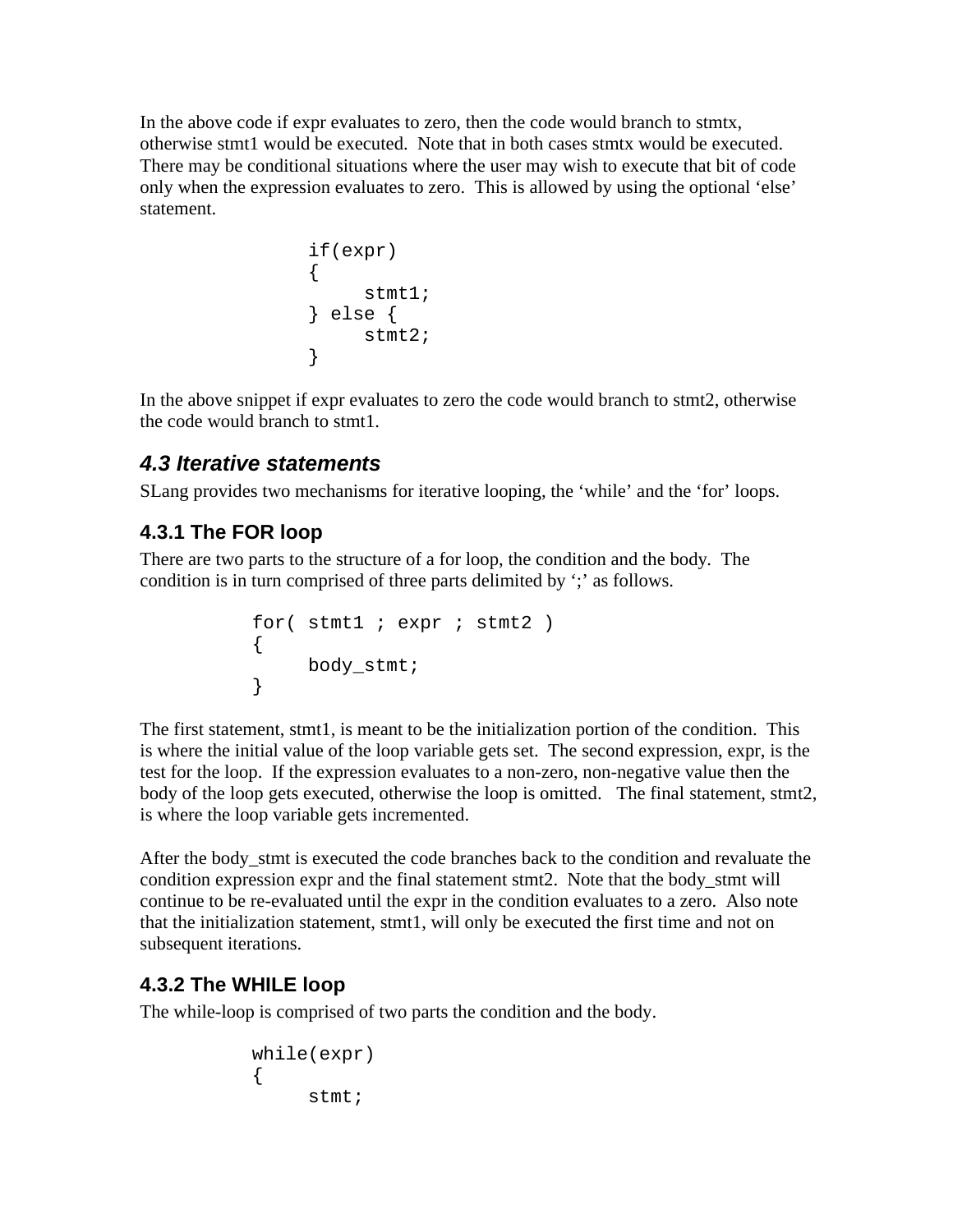In the above code if expr evaluates to zero, then the code would branch to stmtx, otherwise stmt1 would be executed. Note that in both cases stmtx would be executed. There may be conditional situations where the user may wish to execute that bit of code only when the expression evaluates to zero. This is allowed by using the optional 'else' statement.

```
if(expr)
{
     stmt1;
} else {
  stmt2;
}
```
In the above snippet if expr evaluates to zero the code would branch to stmt2, otherwise the code would branch to stmt1.

## *4.3 Iterative statements*

SLang provides two mechanisms for iterative looping, the 'while' and the 'for' loops.

# **4.3.1 The FOR loop**

There are two parts to the structure of a for loop, the condition and the body. The condition is in turn comprised of three parts delimited by ';' as follows.

```
for(stimt1 ; expr ; stmt2 )
{
   body_stmt;
}
```
The first statement, stmt1, is meant to be the initialization portion of the condition. This is where the initial value of the loop variable gets set. The second expression, expr, is the test for the loop. If the expression evaluates to a non-zero, non-negative value then the body of the loop gets executed, otherwise the loop is omitted. The final statement, stmt2, is where the loop variable gets incremented.

After the body stmt is executed the code branches back to the condition and revaluate the condition expression expr and the final statement stmt2. Note that the body\_stmt will continue to be re-evaluated until the expr in the condition evaluates to a zero. Also note that the initialization statement, stmt1, will only be executed the first time and not on subsequent iterations.

### **4.3.2 The WHILE loop**

The while-loop is comprised of two parts the condition and the body.

```
while(expr)
{
     stmt;
```